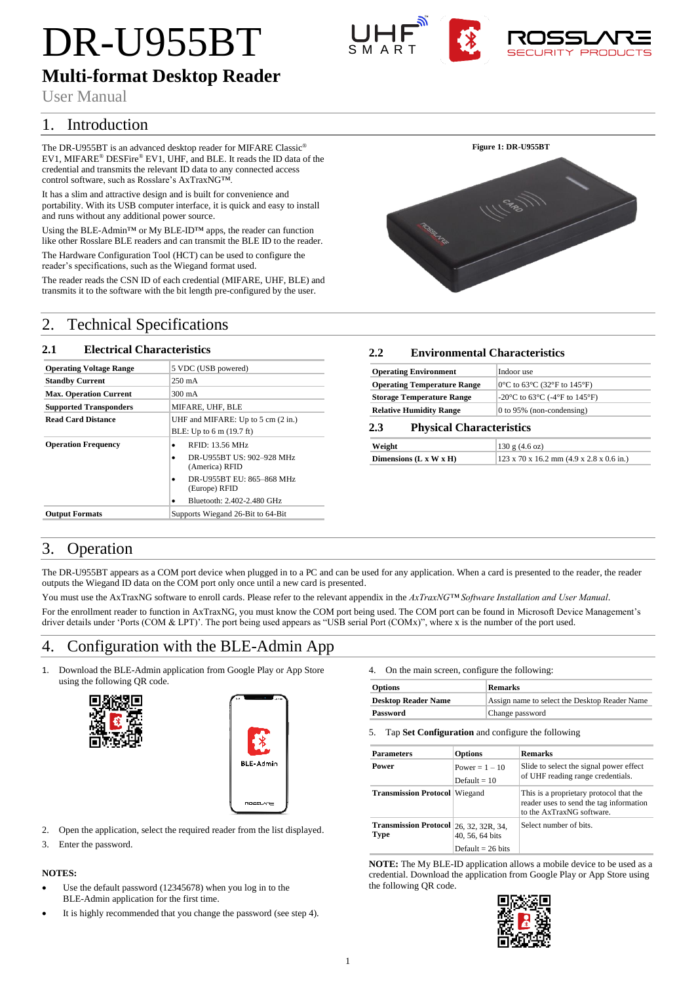# DR-U955BT





# **Multi-format Desktop Reader**

User Manual

# 1. Introduction

The DR-U955BT is an advanced desktop reader for MIFARE Classic® EV1, MIFARE® DESFire® EV1, UHF, and BLE. It reads the ID data of the credential and transmits the relevant ID data to any connected access control software, such as Rosslare's AxTraxNG™.

It has a slim and attractive design and is built for convenience and portability. With its USB computer interface, it is quick and easy to install and runs without any additional power source.

Using the BLE-Admin™ or My BLE-ID™ apps, the reader can function like other Rosslare BLE readers and can transmit the BLE ID to the reader.

The Hardware Configuration Tool (HCT) can be used to configure the reader's specifications, such as the Wiegand format used.

The reader reads the CSN ID of each credential (MIFARE, UHF, BLE) and transmits it to the software with the bit length pre-configured by the user.

# 2. Technical Specifications

## **2.1 Electrical Characteristics**

| <b>Operating Voltage Range</b> | 5 VDC (USB powered)                                                      |  |  |
|--------------------------------|--------------------------------------------------------------------------|--|--|
| <b>Standby Current</b>         | $250 \text{ mA}$                                                         |  |  |
| <b>Max. Operation Current</b>  | 300 mA                                                                   |  |  |
| <b>Supported Transponders</b>  | MIFARE, UHF, BLE                                                         |  |  |
| <b>Read Card Distance</b>      | UHF and MIFARE: Up to 5 cm (2 in.)<br>BLE: Up to 6 m (19.7 ft)           |  |  |
|                                |                                                                          |  |  |
| <b>Operation Frequency</b>     | RFID: 13.56 MHz<br>٠<br>DR-U955BT US: 902-928 MHz<br>٠<br>(America) RFID |  |  |
|                                | DR-U955BT EU: 865-868 MHz<br>٠<br>(Europe) RFID                          |  |  |
|                                | Bluetooth: 2.402-2.480 GHz                                               |  |  |
| <b>Output Formats</b>          | Supports Wiegand 26-Bit to 64-Bit                                        |  |  |



| <b>Operating Environment</b>       | Indoor use                                                                                 |
|------------------------------------|--------------------------------------------------------------------------------------------|
| <b>Operating Temperature Range</b> | $0^{\circ}$ C to 63 $^{\circ}$ C (32 $^{\circ}$ F to 145 $^{\circ}$ F)                     |
| <b>Storage Temperature Range</b>   | -20 $\rm{^{\circ}C}$ to 63 $\rm{^{\circ}C}$ (-4 $\rm{^{\circ}F}$ to 145 $\rm{^{\circ}F}$ ) |
| <b>Relative Humidity Range</b>     | 0 to 95% (non-condensing)                                                                  |

## **2.3 Physical Characteristics**

| Weight                   | 130 g (4.6 oz)                                       |
|--------------------------|------------------------------------------------------|
| Dimensions $(L x W x H)$ | $123 \times 70 \times 16.2$ mm (4.9 x 2.8 x 0.6 in.) |

# 3. Operation

The DR-U955BT appears as a COM port device when plugged in to a PC and can be used for any application. When a card is presented to the reader, the reader outputs the Wiegand ID data on the COM port only once until a new card is presented.

You must use the AxTraxNG software to enroll cards. Please refer to the relevant appendix in the *AxTraxNG™ Software Installation and User Manual*.

For the enrollment reader to function in AxTraxNG, you must know the COM port being used. The COM port can be found in Microsoft Device Management's driver details under 'Ports (COM & LPT)'. The port being used appears as "USB serial Port (COMx)", where x is the number of the port used.

# 4. Configuration with the BLE-Admin App

1. Download the BLE-Admin application from Google Play or App Store using the following QR code.





- 2. Open the application, select the required reader from the list displayed.
- 3. Enter the password.

## **NOTES:**

- Use the default password (12345678) when you log in to the BLE-Admin application for the first time.
- It is highly recommended that you change the password (see step 4).

4. On the main screen, configure the following:

| <b>Options</b>             | <b>Remarks</b>                                |  |
|----------------------------|-----------------------------------------------|--|
| <b>Desktop Reader Name</b> | Assign name to select the Desktop Reader Name |  |
| Password                   | Change password                               |  |

5. Tap **Set Configuration** and configure the following

| <b>Parameters</b>                              | <b>Options</b>                     | <b>Remarks</b>                                                                                                  |
|------------------------------------------------|------------------------------------|-----------------------------------------------------------------------------------------------------------------|
| Power                                          | Power = $1 - 10$<br>Default = $10$ | Slide to select the signal power effect<br>of UHF reading range credentials.                                    |
| <b>Transmission Protocol Wiegand</b>           |                                    | This is a proprietary protocol that the<br>reader uses to send the tag information<br>to the AxTraxNG software. |
| Transmission Protocol 26, 32, 32R, 34,<br>Type | 40, 56, 64 bits                    | Select number of bits.                                                                                          |
|                                                | Default = $26 \text{ bits}$        |                                                                                                                 |

**NOTE:** The My BLE-ID application allows a mobile device to be used as a credential. Download the application from Google Play or App Store using the following QR code.